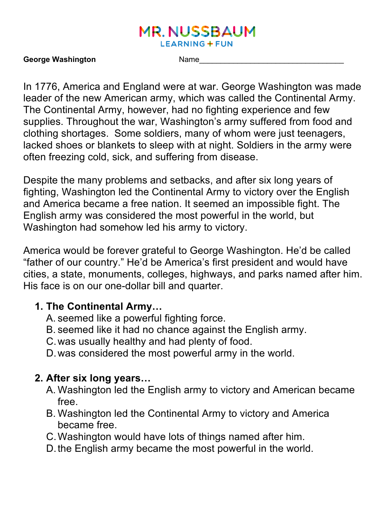#### **MR. NUSSBAUM LEARNING + FUN**

#### **George Washington** Name\_\_\_\_\_\_\_\_\_\_\_\_\_\_\_\_\_\_\_\_\_\_\_\_\_\_\_\_\_\_\_\_\_\_

In 1776, America and England were at war. George Washington was made leader of the new American army, which was called the Continental Army. The Continental Army, however, had no fighting experience and few supplies. Throughout the war, Washington's army suffered from food and clothing shortages. Some soldiers, many of whom were just teenagers, lacked shoes or blankets to sleep with at night. Soldiers in the army were often freezing cold, sick, and suffering from disease.

Despite the many problems and setbacks, and after six long years of fighting, Washington led the Continental Army to victory over the English and America became a free nation. It seemed an impossible fight. The English army was considered the most powerful in the world, but Washington had somehow led his army to victory.

America would be forever grateful to George Washington. He'd be called "father of our country." He'd be America's first president and would have cities, a state, monuments, colleges, highways, and parks named after him. His face is on our one-dollar bill and quarter.

#### **1. The Continental Army…**

- A. seemed like a powerful fighting force.
- B. seemed like it had no chance against the English army.
- C.was usually healthy and had plenty of food.
- D.was considered the most powerful army in the world.

## **2. After six long years…**

- A. Washington led the English army to victory and American became free.
- B. Washington led the Continental Army to victory and America became free.
- C.Washington would have lots of things named after him.
- D.the English army became the most powerful in the world.